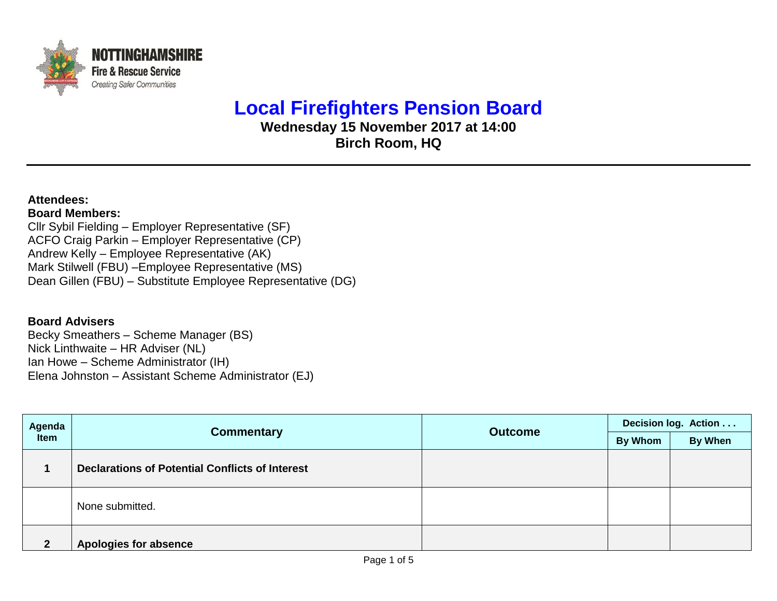

## **Local Firefighters Pension Board**

**Wednesday 15 November 2017 at 14:00 Birch Room, HQ**

## **Attendees: Board Members:**

Cllr Sybil Fielding – Employer Representative (SF) ACFO Craig Parkin – Employer Representative (CP) Andrew Kelly – Employee Representative (AK) Mark Stilwell (FBU) –Employee Representative (MS) Dean Gillen (FBU) – Substitute Employee Representative (DG)

## **Board Advisers**

Becky Smeathers – Scheme Manager (BS) Nick Linthwaite – HR Adviser (NL) Ian Howe – Scheme Administrator (IH) Elena Johnston – Assistant Scheme Administrator (EJ)

| Agenda<br><b>Item</b> |                                                        | <b>Outcome</b> | Decision log. Action |         |  |
|-----------------------|--------------------------------------------------------|----------------|----------------------|---------|--|
|                       | <b>Commentary</b>                                      |                | By Whom              | By When |  |
|                       | <b>Declarations of Potential Conflicts of Interest</b> |                |                      |         |  |
|                       | None submitted.                                        |                |                      |         |  |
| າ                     | <b>Apologies for absence</b>                           |                |                      |         |  |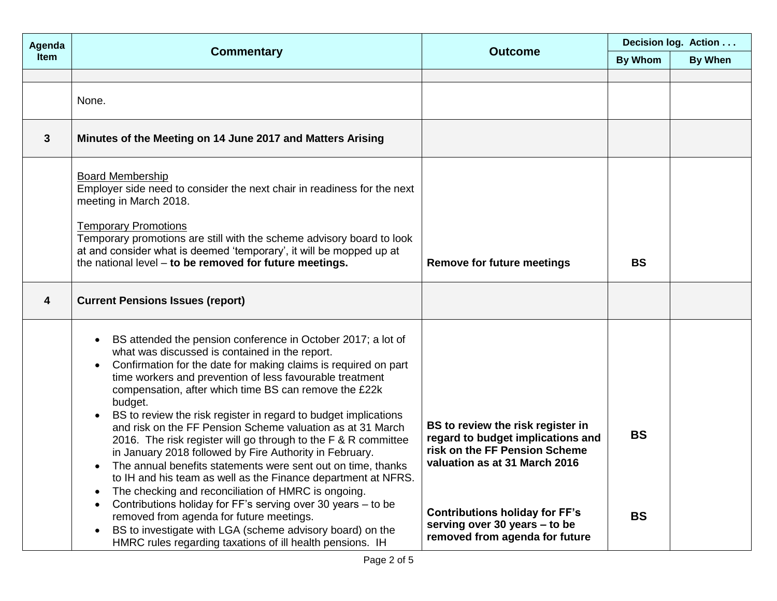| Agenda       | <b>Commentary</b>                                                                                                                                                                                                                                                                                                                                                                                                                                                                                                                                                                                                                                                                                                                                                                                                                                                                                                                                                                                                                                                                           | <b>Outcome</b>                                                                                                                                                                                                                                       | Decision log. Action   |         |  |
|--------------|---------------------------------------------------------------------------------------------------------------------------------------------------------------------------------------------------------------------------------------------------------------------------------------------------------------------------------------------------------------------------------------------------------------------------------------------------------------------------------------------------------------------------------------------------------------------------------------------------------------------------------------------------------------------------------------------------------------------------------------------------------------------------------------------------------------------------------------------------------------------------------------------------------------------------------------------------------------------------------------------------------------------------------------------------------------------------------------------|------------------------------------------------------------------------------------------------------------------------------------------------------------------------------------------------------------------------------------------------------|------------------------|---------|--|
| <b>Item</b>  |                                                                                                                                                                                                                                                                                                                                                                                                                                                                                                                                                                                                                                                                                                                                                                                                                                                                                                                                                                                                                                                                                             |                                                                                                                                                                                                                                                      |                        | By When |  |
|              |                                                                                                                                                                                                                                                                                                                                                                                                                                                                                                                                                                                                                                                                                                                                                                                                                                                                                                                                                                                                                                                                                             |                                                                                                                                                                                                                                                      |                        |         |  |
|              | None.                                                                                                                                                                                                                                                                                                                                                                                                                                                                                                                                                                                                                                                                                                                                                                                                                                                                                                                                                                                                                                                                                       |                                                                                                                                                                                                                                                      |                        |         |  |
| $\mathbf{3}$ | Minutes of the Meeting on 14 June 2017 and Matters Arising                                                                                                                                                                                                                                                                                                                                                                                                                                                                                                                                                                                                                                                                                                                                                                                                                                                                                                                                                                                                                                  |                                                                                                                                                                                                                                                      |                        |         |  |
|              | <b>Board Membership</b><br>Employer side need to consider the next chair in readiness for the next<br>meeting in March 2018.<br><b>Temporary Promotions</b><br>Temporary promotions are still with the scheme advisory board to look<br>at and consider what is deemed 'temporary', it will be mopped up at<br>the national level - to be removed for future meetings.                                                                                                                                                                                                                                                                                                                                                                                                                                                                                                                                                                                                                                                                                                                      | <b>Remove for future meetings</b>                                                                                                                                                                                                                    | <b>BS</b>              |         |  |
| 4            | <b>Current Pensions Issues (report)</b>                                                                                                                                                                                                                                                                                                                                                                                                                                                                                                                                                                                                                                                                                                                                                                                                                                                                                                                                                                                                                                                     |                                                                                                                                                                                                                                                      |                        |         |  |
|              | BS attended the pension conference in October 2017; a lot of<br>$\bullet$<br>what was discussed is contained in the report.<br>Confirmation for the date for making claims is required on part<br>$\bullet$<br>time workers and prevention of less favourable treatment<br>compensation, after which time BS can remove the £22k<br>budget.<br>BS to review the risk register in regard to budget implications<br>and risk on the FF Pension Scheme valuation as at 31 March<br>2016. The risk register will go through to the F & R committee<br>in January 2018 followed by Fire Authority in February.<br>The annual benefits statements were sent out on time, thanks<br>$\bullet$<br>to IH and his team as well as the Finance department at NFRS.<br>The checking and reconciliation of HMRC is ongoing.<br>$\bullet$<br>Contributions holiday for FF's serving over 30 years - to be<br>$\bullet$<br>removed from agenda for future meetings.<br>BS to investigate with LGA (scheme advisory board) on the<br>$\bullet$<br>HMRC rules regarding taxations of ill health pensions. IH | BS to review the risk register in<br>regard to budget implications and<br>risk on the FF Pension Scheme<br>valuation as at 31 March 2016<br><b>Contributions holiday for FF's</b><br>serving over 30 years - to be<br>removed from agenda for future | <b>BS</b><br><b>BS</b> |         |  |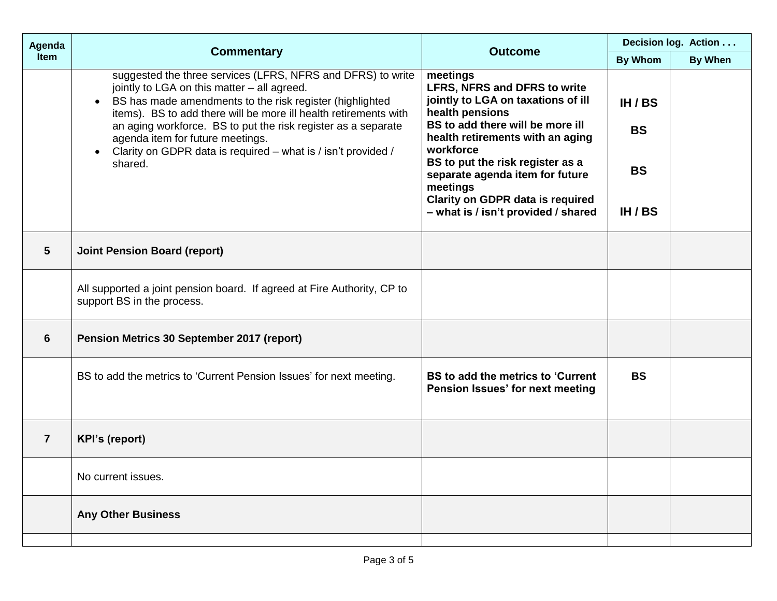| Agenda                  | <b>Commentary</b>                                                                                                                                                                                                                                                                                                                                                                                                                                     | <b>Outcome</b>                                                                                                                                                                                                                                                                                                              | Decision log. Action              |                |
|-------------------------|-------------------------------------------------------------------------------------------------------------------------------------------------------------------------------------------------------------------------------------------------------------------------------------------------------------------------------------------------------------------------------------------------------------------------------------------------------|-----------------------------------------------------------------------------------------------------------------------------------------------------------------------------------------------------------------------------------------------------------------------------------------------------------------------------|-----------------------------------|----------------|
| Item                    |                                                                                                                                                                                                                                                                                                                                                                                                                                                       |                                                                                                                                                                                                                                                                                                                             | <b>By Whom</b>                    | <b>By When</b> |
|                         | suggested the three services (LFRS, NFRS and DFRS) to write<br>jointly to LGA on this matter - all agreed.<br>BS has made amendments to the risk register (highlighted<br>$\bullet$<br>items). BS to add there will be more ill health retirements with<br>an aging workforce. BS to put the risk register as a separate<br>agenda item for future meetings.<br>Clarity on GDPR data is required - what is / isn't provided /<br>$\bullet$<br>shared. | meetings<br><b>LFRS, NFRS and DFRS to write</b><br>jointly to LGA on taxations of ill<br>health pensions<br>BS to add there will be more ill<br>health retirements with an aging<br>workforce<br>BS to put the risk register as a<br>separate agenda item for future<br>meetings<br><b>Clarity on GDPR data is required</b> | IH / BS<br><b>BS</b><br><b>BS</b> |                |
|                         |                                                                                                                                                                                                                                                                                                                                                                                                                                                       | - what is / isn't provided / shared                                                                                                                                                                                                                                                                                         | IH / BS                           |                |
| $\overline{\mathbf{5}}$ | <b>Joint Pension Board (report)</b>                                                                                                                                                                                                                                                                                                                                                                                                                   |                                                                                                                                                                                                                                                                                                                             |                                   |                |
|                         | All supported a joint pension board. If agreed at Fire Authority, CP to<br>support BS in the process.                                                                                                                                                                                                                                                                                                                                                 |                                                                                                                                                                                                                                                                                                                             |                                   |                |
| 6                       | Pension Metrics 30 September 2017 (report)                                                                                                                                                                                                                                                                                                                                                                                                            |                                                                                                                                                                                                                                                                                                                             |                                   |                |
|                         | BS to add the metrics to 'Current Pension Issues' for next meeting.                                                                                                                                                                                                                                                                                                                                                                                   | BS to add the metrics to 'Current<br>Pension Issues' for next meeting                                                                                                                                                                                                                                                       | <b>BS</b>                         |                |
| $\overline{7}$          | <b>KPI's (report)</b>                                                                                                                                                                                                                                                                                                                                                                                                                                 |                                                                                                                                                                                                                                                                                                                             |                                   |                |
|                         | No current issues.                                                                                                                                                                                                                                                                                                                                                                                                                                    |                                                                                                                                                                                                                                                                                                                             |                                   |                |
|                         | <b>Any Other Business</b>                                                                                                                                                                                                                                                                                                                                                                                                                             |                                                                                                                                                                                                                                                                                                                             |                                   |                |
|                         |                                                                                                                                                                                                                                                                                                                                                                                                                                                       |                                                                                                                                                                                                                                                                                                                             |                                   |                |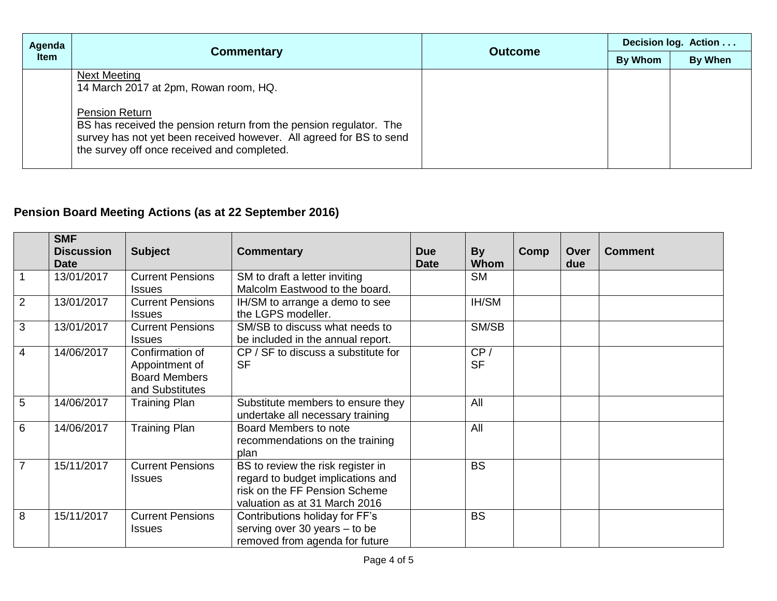| Agenda      |                                                                                                                                                                                                                                                                                   | <b>Outcome</b> | Decision log. Action |         |  |
|-------------|-----------------------------------------------------------------------------------------------------------------------------------------------------------------------------------------------------------------------------------------------------------------------------------|----------------|----------------------|---------|--|
| <b>Item</b> | <b>Commentary</b>                                                                                                                                                                                                                                                                 |                | By Whom              | By When |  |
|             | <b>Next Meeting</b><br>14 March 2017 at 2pm, Rowan room, HQ.<br><b>Pension Return</b><br>BS has received the pension return from the pension regulator. The<br>survey has not yet been received however. All agreed for BS to send<br>the survey off once received and completed. |                |                      |         |  |

## **Pension Board Meeting Actions (as at 22 September 2016)**

|                | <b>SMF</b><br><b>Discussion</b> | <b>Subject</b>                                                               | <b>Commentary</b>                                                                                                                        | <b>Due</b>  | <b>By</b>        | Comp | Over | <b>Comment</b> |
|----------------|---------------------------------|------------------------------------------------------------------------------|------------------------------------------------------------------------------------------------------------------------------------------|-------------|------------------|------|------|----------------|
|                | <b>Date</b>                     |                                                                              |                                                                                                                                          | <b>Date</b> | <b>Whom</b>      |      | due  |                |
|                | 13/01/2017                      | <b>Current Pensions</b><br><b>Issues</b>                                     | SM to draft a letter inviting<br>Malcolm Eastwood to the board.                                                                          |             | <b>SM</b>        |      |      |                |
| $\overline{2}$ | 13/01/2017                      | <b>Current Pensions</b><br><b>Issues</b>                                     | IH/SM to arrange a demo to see<br>the LGPS modeller.                                                                                     |             | IH/SM            |      |      |                |
| 3              | 13/01/2017                      | <b>Current Pensions</b><br><b>Issues</b>                                     | SM/SB to discuss what needs to<br>be included in the annual report.                                                                      |             | SM/SB            |      |      |                |
| 4              | 14/06/2017                      | Confirmation of<br>Appointment of<br><b>Board Members</b><br>and Substitutes | CP / SF to discuss a substitute for<br><b>SF</b>                                                                                         |             | CP/<br><b>SF</b> |      |      |                |
| 5              | 14/06/2017                      | <b>Training Plan</b>                                                         | Substitute members to ensure they<br>undertake all necessary training                                                                    |             | All              |      |      |                |
| 6              | 14/06/2017                      | <b>Training Plan</b>                                                         | Board Members to note<br>recommendations on the training<br>plan                                                                         |             | All              |      |      |                |
| $\overline{7}$ | 15/11/2017                      | <b>Current Pensions</b><br><b>Issues</b>                                     | BS to review the risk register in<br>regard to budget implications and<br>risk on the FF Pension Scheme<br>valuation as at 31 March 2016 |             | <b>BS</b>        |      |      |                |
| 8              | 15/11/2017                      | <b>Current Pensions</b><br><b>Issues</b>                                     | Contributions holiday for FF's<br>serving over 30 years - to be<br>removed from agenda for future                                        |             | <b>BS</b>        |      |      |                |